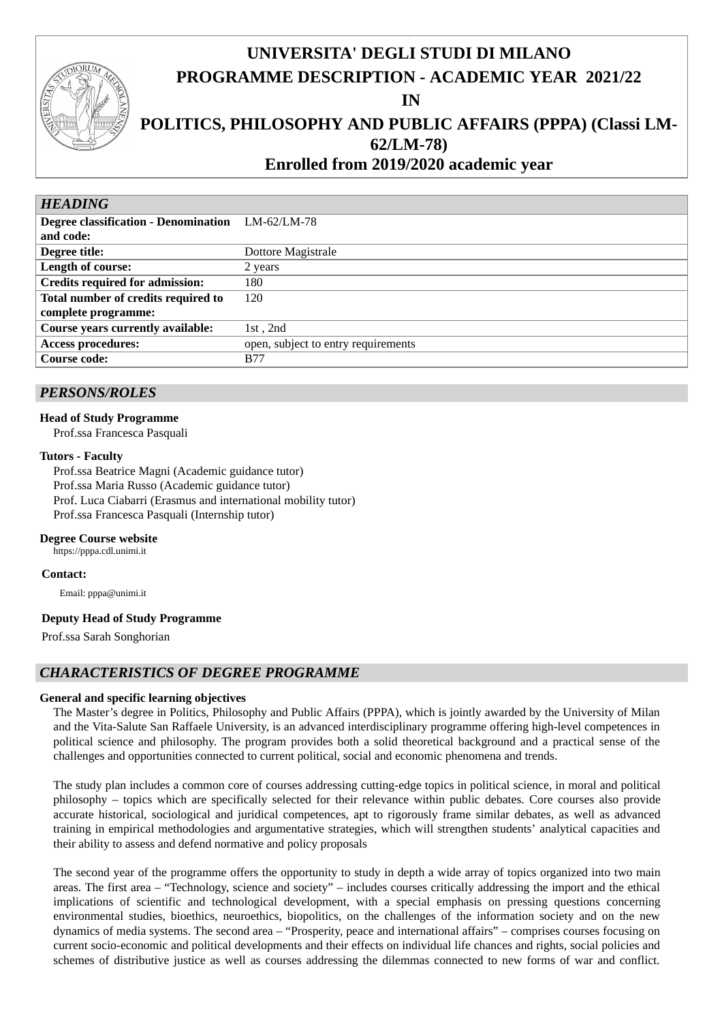

# **UNIVERSITA' DEGLI STUDI DI MILANO PROGRAMME DESCRIPTION - ACADEMIC YEAR 2021/22**

**IN**

# **POLITICS, PHILOSOPHY AND PUBLIC AFFAIRS (PPPA) (Classi LM-62/LM-78)**

**Enrolled from 2019/2020 academic year**

# *HEADING*

| <b>Degree classification - Denomination</b> LM-62/LM-78 |                                     |
|---------------------------------------------------------|-------------------------------------|
| and code:                                               |                                     |
| Degree title:                                           | Dottore Magistrale                  |
| Length of course:                                       | 2 years                             |
| <b>Credits required for admission:</b>                  | 180                                 |
| Total number of credits required to                     | 120                                 |
| complete programme:                                     |                                     |
| <b>Course years currently available:</b>                | $1st$ , $2nd$                       |
| <b>Access procedures:</b>                               | open, subject to entry requirements |
| <b>Course code:</b>                                     | <b>B77</b>                          |

# *PERSONS/ROLES*

## **Head of Study Programme**

Prof.ssa Francesca Pasquali

## **Tutors - Faculty**

Prof.ssa Beatrice Magni (Academic guidance tutor) Prof.ssa Maria Russo (Academic guidance tutor) Prof. Luca Ciabarri (Erasmus and international mobility tutor) Prof.ssa Francesca Pasquali (Internship tutor)

#### **Degree Course website**

[https://pppa.cdl.unimi.it](https://pppa.cdl.unimi.it/)

#### **Contact:**

Email: [pppa@unimi.it](mailto:pppa@unimi.it)

# **Deputy Head of Study Programme**

Prof.ssa Sarah Songhorian

# *CHARACTERISTICS OF DEGREE PROGRAMME*

# **General and specific learning objectives**

The Master's degree in Politics, Philosophy and Public Affairs (PPPA), which is jointly awarded by the University of Milan and the Vita-Salute San Raffaele University, is an advanced interdisciplinary programme offering high-level competences in political science and philosophy. The program provides both a solid theoretical background and a practical sense of the challenges and opportunities connected to current political, social and economic phenomena and trends.

The study plan includes a common core of courses addressing cutting-edge topics in political science, in moral and political philosophy – topics which are specifically selected for their relevance within public debates. Core courses also provide accurate historical, sociological and juridical competences, apt to rigorously frame similar debates, as well as advanced training in empirical methodologies and argumentative strategies, which will strengthen students' analytical capacities and their ability to assess and defend normative and policy proposals

The second year of the programme offers the opportunity to study in depth a wide array of topics organized into two main areas. The first area – "Technology, science and society" – includes courses critically addressing the import and the ethical implications of scientific and technological development, with a special emphasis on pressing questions concerning environmental studies, bioethics, neuroethics, biopolitics, on the challenges of the information society and on the new dynamics of media systems. The second area – "Prosperity, peace and international affairs" – comprises courses focusing on current socio-economic and political developments and their effects on individual life chances and rights, social policies and schemes of distributive justice as well as courses addressing the dilemmas connected to new forms of war and conflict.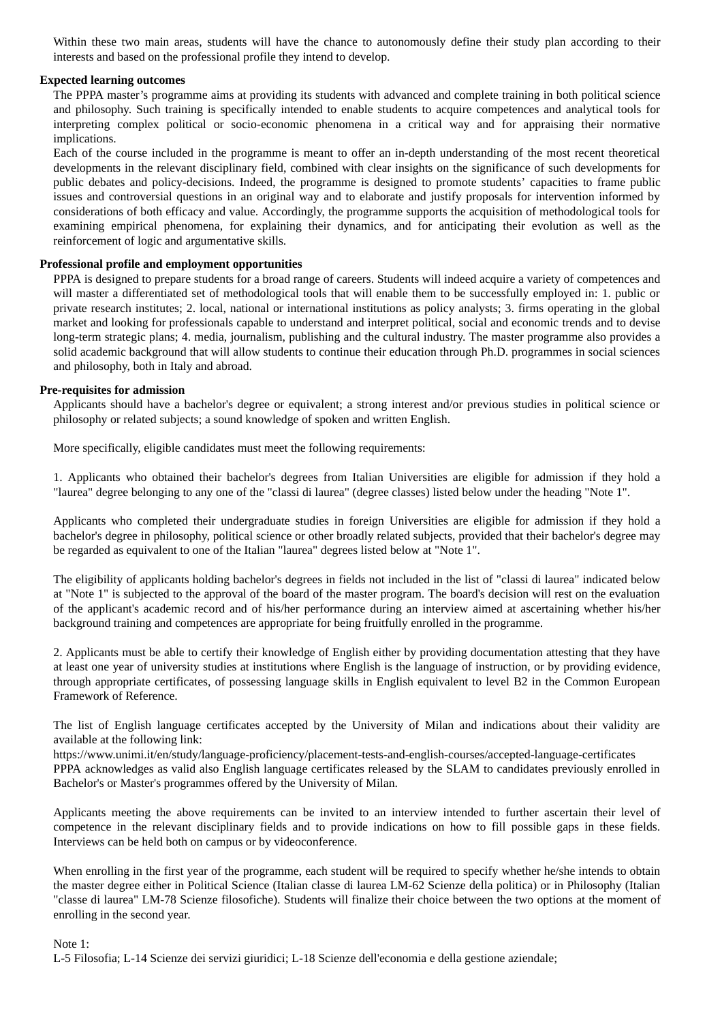Within these two main areas, students will have the chance to autonomously define their study plan according to their interests and based on the professional profile they intend to develop.

#### **Expected learning outcomes**

The PPPA master's programme aims at providing its students with advanced and complete training in both political science and philosophy. Such training is specifically intended to enable students to acquire competences and analytical tools for interpreting complex political or socio-economic phenomena in a critical way and for appraising their normative implications.

Each of the course included in the programme is meant to offer an in-depth understanding of the most recent theoretical developments in the relevant disciplinary field, combined with clear insights on the significance of such developments for public debates and policy-decisions. Indeed, the programme is designed to promote students' capacities to frame public issues and controversial questions in an original way and to elaborate and justify proposals for intervention informed by considerations of both efficacy and value. Accordingly, the programme supports the acquisition of methodological tools for examining empirical phenomena, for explaining their dynamics, and for anticipating their evolution as well as the reinforcement of logic and argumentative skills.

#### **Professional profile and employment opportunities**

PPPA is designed to prepare students for a broad range of careers. Students will indeed acquire a variety of competences and will master a differentiated set of methodological tools that will enable them to be successfully employed in: 1. public or private research institutes; 2. local, national or international institutions as policy analysts; 3. firms operating in the global market and looking for professionals capable to understand and interpret political, social and economic trends and to devise long-term strategic plans; 4. media, journalism, publishing and the cultural industry. The master programme also provides a solid academic background that will allow students to continue their education through Ph.D. programmes in social sciences and philosophy, both in Italy and abroad.

#### **Pre-requisites for admission**

Applicants should have a bachelor's degree or equivalent; a strong interest and/or previous studies in political science or philosophy or related subjects; a sound knowledge of spoken and written English.

More specifically, eligible candidates must meet the following requirements:

1. Applicants who obtained their bachelor's degrees from Italian Universities are eligible for admission if they hold a "laurea" degree belonging to any one of the "classi di laurea" (degree classes) listed below under the heading "Note 1".

Applicants who completed their undergraduate studies in foreign Universities are eligible for admission if they hold a bachelor's degree in philosophy, political science or other broadly related subjects, provided that their bachelor's degree may be regarded as equivalent to one of the Italian "laurea" degrees listed below at "Note 1".

The eligibility of applicants holding bachelor's degrees in fields not included in the list of "classi di laurea" indicated below at "Note 1" is subjected to the approval of the board of the master program. The board's decision will rest on the evaluation of the applicant's academic record and of his/her performance during an interview aimed at ascertaining whether his/her background training and competences are appropriate for being fruitfully enrolled in the programme.

2. Applicants must be able to certify their knowledge of English either by providing documentation attesting that they have at least one year of university studies at institutions where English is the language of instruction, or by providing evidence, through appropriate certificates, of possessing language skills in English equivalent to level B2 in the Common European Framework of Reference.

The list of English language certificates accepted by the University of Milan and indications about their validity are available at the following link:

https://www.unimi.it/en/study/language-proficiency/placement-tests-and-english-courses/accepted-language-certificates PPPA acknowledges as valid also English language certificates released by the SLAM to candidates previously enrolled in Bachelor's or Master's programmes offered by the University of Milan.

Applicants meeting the above requirements can be invited to an interview intended to further ascertain their level of competence in the relevant disciplinary fields and to provide indications on how to fill possible gaps in these fields. Interviews can be held both on campus or by videoconference.

When enrolling in the first year of the programme, each student will be required to specify whether he/she intends to obtain the master degree either in Political Science (Italian classe di laurea LM-62 Scienze della politica) or in Philosophy (Italian "classe di laurea" LM-78 Scienze filosofiche). Students will finalize their choice between the two options at the moment of enrolling in the second year.

#### Note 1:

L-5 Filosofia; L-14 Scienze dei servizi giuridici; L-18 Scienze dell'economia e della gestione aziendale;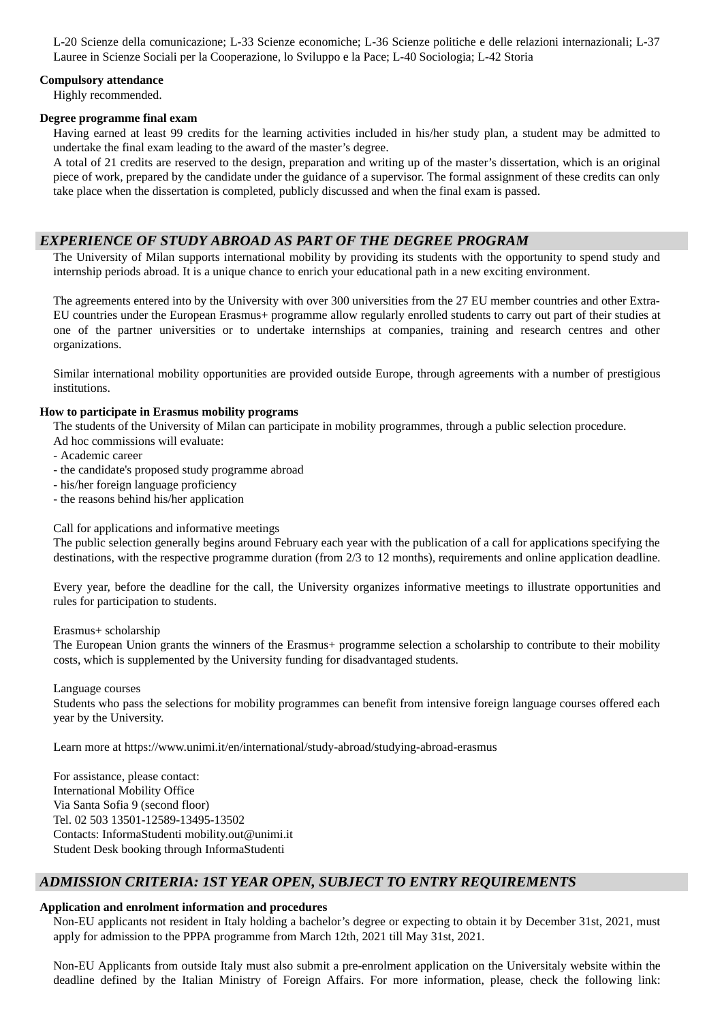L-20 Scienze della comunicazione; L-33 Scienze economiche; L-36 Scienze politiche e delle relazioni internazionali; L-37 Lauree in Scienze Sociali per la Cooperazione, lo Sviluppo e la Pace; L-40 Sociologia; L-42 Storia

#### **Compulsory attendance**

Highly recommended.

#### **Degree programme final exam**

Having earned at least 99 credits for the learning activities included in his/her study plan, a student may be admitted to undertake the final exam leading to the award of the master's degree.

A total of 21 credits are reserved to the design, preparation and writing up of the master's dissertation, which is an original piece of work, prepared by the candidate under the guidance of a supervisor. The formal assignment of these credits can only take place when the dissertation is completed, publicly discussed and when the final exam is passed.

#### *EXPERIENCE OF STUDY ABROAD AS PART OF THE DEGREE PROGRAM*

The University of Milan supports international mobility by providing its students with the opportunity to spend study and internship periods abroad. It is a unique chance to enrich your educational path in a new exciting environment.

The agreements entered into by the University with over 300 universities from the 27 EU member countries and other Extra-EU countries under the European Erasmus+ programme allow regularly enrolled students to carry out part of their studies at one of the partner universities or to undertake internships at companies, training and research centres and other organizations.

Similar international mobility opportunities are provided outside Europe, through agreements with a number of prestigious institutions.

#### **How to participate in Erasmus mobility programs**

The students of the University of Milan can participate in mobility programmes, through a public selection procedure.

- Ad hoc commissions will evaluate:
- Academic career
- the candidate's proposed study programme abroad
- his/her foreign language proficiency
- the reasons behind his/her application

Call for applications and informative meetings

The public selection generally begins around February each year with the publication of a call for applications specifying the destinations, with the respective programme duration (from 2/3 to 12 months), requirements and online application deadline.

Every year, before the deadline for the call, the University organizes informative meetings to illustrate opportunities and rules for participation to students.

Erasmus+ scholarship

The European Union grants the winners of the Erasmus+ programme selection a scholarship to contribute to their mobility costs, which is supplemented by the University funding for disadvantaged students.

Language courses

Students who pass the selections for mobility programmes can benefit from intensive foreign language courses offered each year by the University.

Learn more at https://www.unimi.it/en/international/study-abroad/studying-abroad-erasmus

For assistance, please contact: International Mobility Office Via Santa Sofia 9 (second floor) Tel. 02 503 13501-12589-13495-13502 Contacts: InformaStudenti mobility.out@unimi.it Student Desk booking through InformaStudenti

# *ADMISSION CRITERIA: 1ST YEAR OPEN, SUBJECT TO ENTRY REQUIREMENTS*

#### **Application and enrolment information and procedures**

Non-EU applicants not resident in Italy holding a bachelor's degree or expecting to obtain it by December 31st, 2021, must apply for admission to the PPPA programme from March 12th, 2021 till May 31st, 2021.

Non-EU Applicants from outside Italy must also submit a pre-enrolment application on the Universitaly website within the deadline defined by the Italian Ministry of Foreign Affairs. For more information, please, check the following link: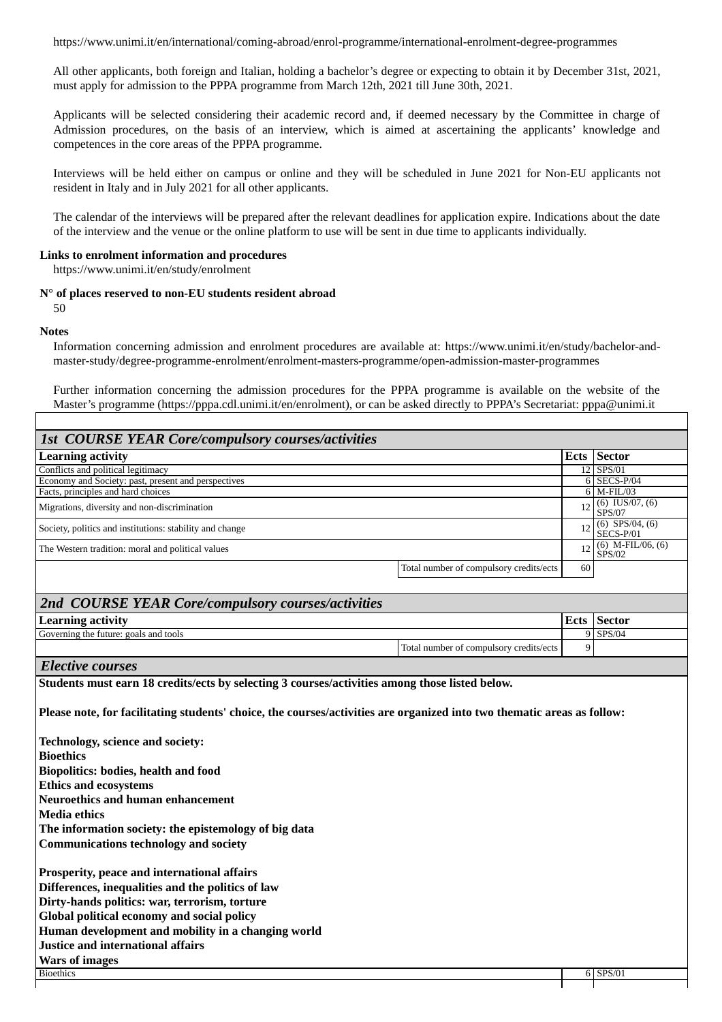https://www.unimi.it/en/international/coming-abroad/enrol-programme/international-enrolment-degree-programmes

All other applicants, both foreign and Italian, holding a bachelor's degree or expecting to obtain it by December 31st, 2021, must apply for admission to the PPPA programme from March 12th, 2021 till June 30th, 2021.

Applicants will be selected considering their academic record and, if deemed necessary by the Committee in charge of Admission procedures, on the basis of an interview, which is aimed at ascertaining the applicants' knowledge and competences in the core areas of the PPPA programme.

Interviews will be held either on campus or online and they will be scheduled in June 2021 for Non-EU applicants not resident in Italy and in July 2021 for all other applicants.

The calendar of the interviews will be prepared after the relevant deadlines for application expire. Indications about the date of the interview and the venue or the online platform to use will be sent in due time to applicants individually.

#### **Links to enrolment information and procedures**

https://www.unimi.it/en/study/enrolment

# **N° of places reserved to non-EU students resident abroad**

50

#### **Notes**

Information concerning admission and enrolment procedures are available at: https://www.unimi.it/en/study/bachelor-andmaster-study/degree-programme-enrolment/enrolment-masters-programme/open-admission-master-programmes

Further information concerning the admission procedures for the PPPA programme is available on the website of the Master's programme (https://pppa.cdl.unimi.it/en/enrolment), or can be asked directly to PPPA's Secretariat: pppa@unimi.it

| <b>1st COURSE YEAR Core/compulsory courses/activities</b>                                                                                                                                                                                                                                                                  |                                         |             |                                   |  |  |
|----------------------------------------------------------------------------------------------------------------------------------------------------------------------------------------------------------------------------------------------------------------------------------------------------------------------------|-----------------------------------------|-------------|-----------------------------------|--|--|
| <b>Learning activity</b>                                                                                                                                                                                                                                                                                                   |                                         | Ects        | <b>Sector</b>                     |  |  |
| Conflicts and political legitimacy                                                                                                                                                                                                                                                                                         |                                         |             | 12 SPS/01                         |  |  |
| Economy and Society: past, present and perspectives                                                                                                                                                                                                                                                                        |                                         |             | 6 SECS-P/04                       |  |  |
| Facts, principles and hard choices                                                                                                                                                                                                                                                                                         |                                         | 12          | 6 M-FIL/03<br>$(6)$ IUS/07, $(6)$ |  |  |
| Migrations, diversity and non-discrimination                                                                                                                                                                                                                                                                               |                                         |             | <b>SPS/07</b>                     |  |  |
| Society, politics and institutions: stability and change                                                                                                                                                                                                                                                                   |                                         |             | $(6)$ SPS/04, $(6)$<br>SECS-P/01  |  |  |
| The Western tradition: moral and political values                                                                                                                                                                                                                                                                          |                                         | 12          | $(6)$ M-FIL/06, $(6)$<br>SPS/02   |  |  |
|                                                                                                                                                                                                                                                                                                                            | Total number of compulsory credits/ects | 60          |                                   |  |  |
|                                                                                                                                                                                                                                                                                                                            |                                         |             |                                   |  |  |
| 2nd COURSE YEAR Core/compulsory courses/activities                                                                                                                                                                                                                                                                         |                                         |             |                                   |  |  |
| <b>Learning activity</b>                                                                                                                                                                                                                                                                                                   |                                         | <b>Ects</b> | Sector                            |  |  |
| Governing the future: goals and tools                                                                                                                                                                                                                                                                                      |                                         |             | 9 SPS/04                          |  |  |
|                                                                                                                                                                                                                                                                                                                            | Total number of compulsory credits/ects | 9           |                                   |  |  |
| <b>Elective courses</b>                                                                                                                                                                                                                                                                                                    |                                         |             |                                   |  |  |
| Please note, for facilitating students' choice, the courses/activities are organized into two thematic areas as follow:<br>Technology, science and society:<br><b>Bioethics</b><br><b>Biopolitics: bodies, health and food</b><br><b>Ethics and ecosystems</b><br><b>Neuroethics and human enhancement</b>                 |                                         |             |                                   |  |  |
| <b>Media ethics</b>                                                                                                                                                                                                                                                                                                        |                                         |             |                                   |  |  |
| The information society: the epistemology of big data                                                                                                                                                                                                                                                                      |                                         |             |                                   |  |  |
| <b>Communications technology and society</b>                                                                                                                                                                                                                                                                               |                                         |             |                                   |  |  |
| Prosperity, peace and international affairs<br>Differences, inequalities and the politics of law<br>Dirty-hands politics: war, terrorism, torture<br>Global political economy and social policy<br>Human development and mobility in a changing world<br><b>Justice and international affairs</b><br><b>Wars of images</b> |                                         |             |                                   |  |  |
| <b>Bioethics</b>                                                                                                                                                                                                                                                                                                           |                                         |             | 6 SPS/01                          |  |  |
|                                                                                                                                                                                                                                                                                                                            |                                         |             |                                   |  |  |